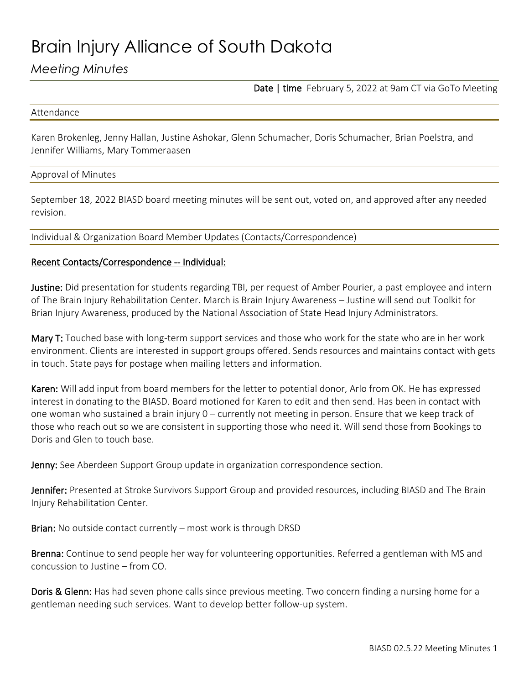# Brain Injury Alliance of South Dakota

# *Meeting Minutes*

Date | time February 5, 2022 at 9am CT via GoTo Meeting

#### Attendance

Karen Brokenleg, Jenny Hallan, Justine Ashokar, Glenn Schumacher, Doris Schumacher, Brian Poelstra, and Jennifer Williams, Mary Tommeraasen

#### Approval of Minutes

September 18, 2022 BIASD board meeting minutes will be sent out, voted on, and approved after any needed revision.

Individual & Organization Board Member Updates (Contacts/Correspondence)

### Recent Contacts/Correspondence -- Individual:

Justine: Did presentation for students regarding TBI, per request of Amber Pourier, a past employee and intern of The Brain Injury Rehabilitation Center. March is Brain Injury Awareness – Justine will send out Toolkit for Brian Injury Awareness, produced by the National Association of State Head Injury Administrators.

Mary T: Touched base with long-term support services and those who work for the state who are in her work environment. Clients are interested in support groups offered. Sends resources and maintains contact with gets in touch. State pays for postage when mailing letters and information.

Karen: Will add input from board members for the letter to potential donor, Arlo from OK. He has expressed interest in donating to the BIASD. Board motioned for Karen to edit and then send. Has been in contact with one woman who sustained a brain injury 0 – currently not meeting in person. Ensure that we keep track of those who reach out so we are consistent in supporting those who need it. Will send those from Bookings to Doris and Glen to touch base.

Jenny: See Aberdeen Support Group update in organization correspondence section.

Jennifer: Presented at Stroke Survivors Support Group and provided resources, including BIASD and The Brain Injury Rehabilitation Center.

Brian: No outside contact currently – most work is through DRSD

Brenna: Continue to send people her way for volunteering opportunities. Referred a gentleman with MS and concussion to Justine – from CO.

**Doris & Glenn:** Has had seven phone calls since previous meeting. Two concern finding a nursing home for a gentleman needing such services. Want to develop better follow-up system.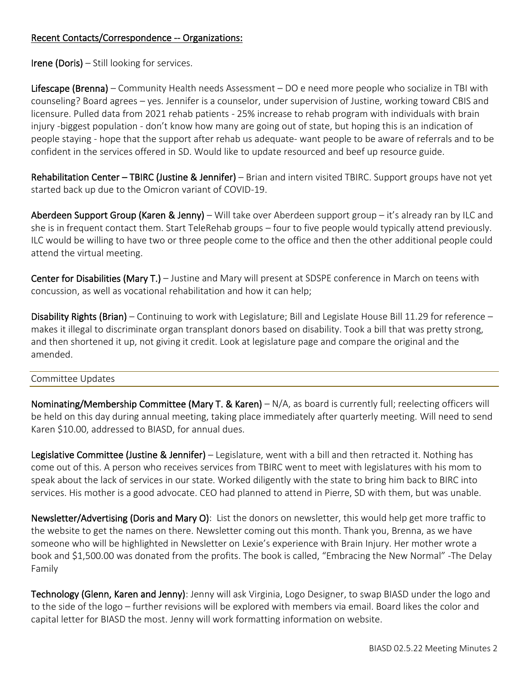## Recent Contacts/Correspondence -- Organizations:

Irene (Doris) – Still looking for services.

Lifescape (Brenna) – Community Health needs Assessment – DO e need more people who socialize in TBI with counseling? Board agrees – yes. Jennifer is a counselor, under supervision of Justine, working toward CBIS and licensure. Pulled data from 2021 rehab patients - 25% increase to rehab program with individuals with brain injury -biggest population - don't know how many are going out of state, but hoping this is an indication of people staying - hope that the support after rehab us adequate- want people to be aware of referrals and to be confident in the services offered in SD. Would like to update resourced and beef up resource guide.

Rehabilitation Center – TBIRC (Justine & Jennifer) – Brian and intern visited TBIRC. Support groups have not yet started back up due to the Omicron variant of COVID-19.

Aberdeen Support Group (Karen & Jenny) – Will take over Aberdeen support group – it's already ran by ILC and she is in frequent contact them. Start TeleRehab groups – four to five people would typically attend previously. ILC would be willing to have two or three people come to the office and then the other additional people could attend the virtual meeting.

Center for Disabilities (Mary T.) – Justine and Mary will present at SDSPE conference in March on teens with concussion, as well as vocational rehabilitation and how it can help;

Disability Rights (Brian) – Continuing to work with Legislature; Bill and Legislate House Bill 11.29 for reference – makes it illegal to discriminate organ transplant donors based on disability. Took a bill that was pretty strong, and then shortened it up, not giving it credit. Look at legislature page and compare the original and the amended.

#### Committee Updates

Nominating/Membership Committee (Mary T. & Karen) – N/A, as board is currently full; reelecting officers will be held on this day during annual meeting, taking place immediately after quarterly meeting. Will need to send Karen \$10.00, addressed to BIASD, for annual dues.

Legislative Committee (Justine & Jennifer) – Legislature, went with a bill and then retracted it. Nothing has come out of this. A person who receives services from TBIRC went to meet with legislatures with his mom to speak about the lack of services in our state. Worked diligently with the state to bring him back to BIRC into services. His mother is a good advocate. CEO had planned to attend in Pierre, SD with them, but was unable.

Newsletter/Advertising (Doris and Mary O): List the donors on newsletter, this would help get more traffic to the website to get the names on there. Newsletter coming out this month. Thank you, Brenna, as we have someone who will be highlighted in Newsletter on Lexie's experience with Brain Injury. Her mother wrote a book and \$1,500.00 was donated from the profits. The book is called, "Embracing the New Normal" -The Delay Family

Technology (Glenn, Karen and Jenny): Jenny will ask Virginia, Logo Designer, to swap BIASD under the logo and to the side of the logo – further revisions will be explored with members via email. Board likes the color and capital letter for BIASD the most. Jenny will work formatting information on website.